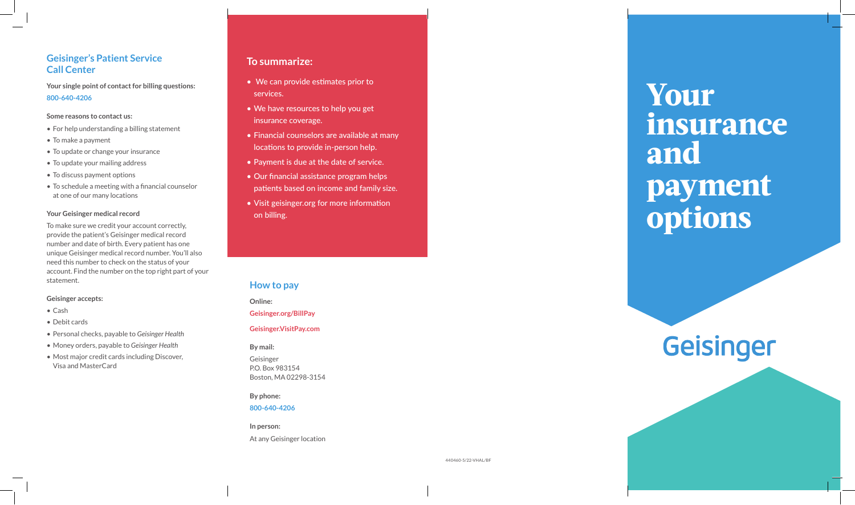# **Your insurance and payment options**

## Geisinger

## **Geisinger's Patient Service Call Center**

**Your single point of contact for billing questions: 800-640-4206**

#### **Some reasons to contact us:**

- For help understanding a billing statement
- To make a payment
- To update or change your insurance
- To update your mailing address
- To discuss payment options
- To schedule a meeting with a financial counselor at one of our many locations

#### **Your Geisinger medical record**

To make sure we credit your account correctly, provide the patient's Geisinger medical record number and date of birth. Every patient has one unique Geisinger medical record number. You'll also need this number to check on the status of your account. Find the number on the top right part of your statement.

- We can provide estimates prior to services.
- We have resources to help you get insurance coverage.
- Financial counselors are available at many locations to provide in-person help.
- Payment is due at the date of service.
- Our financial assistance program helps patients based on income and family size.
- Visit geisinger.org for more information on billing.

#### **Geisinger accepts:**

- Cash
- Debit cards
- Personal checks, payable to *Geisinger Health*
- Money orders, payable to *Geisinger Health*
- Most major credit cards including Discover, Visa and MasterCard

## **How to pay**

### **Online:**

**Geisinger.org/BillPay**

## **Geisinger.VisitPay.com**

#### **By mail:**

Geisinger P.O. Box 983154 Boston, MA 02298-3154

#### **By phone:**

#### **800-640-4206**

**In person:**  At any Geisinger location

## **To summarize:**